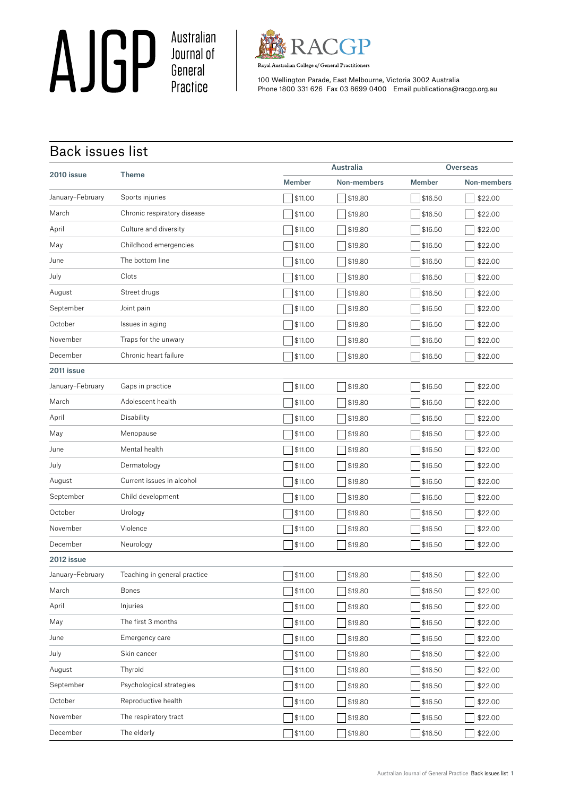AJGP Australian



Royal Australian College of General Practitioners

100 Wellington Parade, East Melbourne, Victoria 3002 Australia Phone 1800 331 626 Fax 03 8699 0400 Email publications@racgp.org.au

## Back issues list

|                  | <b>Theme</b>                 |               | <b>Australia</b> |               | <b>Overseas</b> |  |
|------------------|------------------------------|---------------|------------------|---------------|-----------------|--|
| 2010 issue       |                              | <b>Member</b> | Non-members      | <b>Member</b> | Non-members     |  |
| January-February | Sports injuries              | \$11.00       | \$19.80          | \$16.50       | \$22.00         |  |
| March            | Chronic respiratory disease  | \$11.00       | \$19.80          | \$16.50       | \$22.00         |  |
| April            | Culture and diversity        | \$11.00       | \$19.80          | \$16.50       | \$22.00         |  |
| May              | Childhood emergencies        | \$11.00       | \$19.80          | \$16.50       | \$22.00         |  |
| June             | The bottom line              | \$11.00       | \$19.80          | \$16.50       | \$22.00         |  |
| July             | Clots                        | \$11.00       | \$19.80          | \$16.50       | \$22.00         |  |
| August           | Street drugs                 | \$11.00       | \$19.80          | \$16.50       | \$22.00         |  |
| September        | Joint pain                   | \$11.00       | \$19.80          | \$16.50       | \$22.00         |  |
| October          | Issues in aging              | \$11.00       | \$19.80          | \$16.50       | \$22.00         |  |
| November         | Traps for the unwary         | \$11.00       | \$19.80          | \$16.50       | \$22.00         |  |
| December         | Chronic heart failure        | \$11.00       | \$19.80          | \$16.50       | \$22.00         |  |
| 2011 issue       |                              |               |                  |               |                 |  |
| January-February | Gaps in practice             | \$11.00       | \$19.80          | \$16.50       | \$22.00         |  |
| March            | Adolescent health            | \$11.00       | \$19.80          | \$16.50       | \$22.00         |  |
| April            | Disability                   | \$11.00       | \$19.80          | \$16.50       | \$22.00         |  |
| May              | Menopause                    | \$11.00       | \$19.80          | \$16.50       | \$22.00         |  |
| June             | Mental health                | \$11.00       | \$19.80          | \$16.50       | \$22.00         |  |
| July             | Dermatology                  | \$11.00       | \$19.80          | \$16.50       | \$22.00         |  |
| August           | Current issues in alcohol    | \$11.00       | \$19.80          | \$16.50       | \$22.00         |  |
| September        | Child development            | \$11.00       | \$19.80          | \$16.50       | \$22.00         |  |
| October          | Urology                      | \$11.00       | \$19.80          | \$16.50       | \$22.00         |  |
| November         | Violence                     | \$11.00       | \$19.80          | \$16.50       | \$22.00         |  |
| December         | Neurology                    | \$11.00       | \$19.80          | \$16.50       | \$22.00         |  |
| 2012 issue       |                              |               |                  |               |                 |  |
| January-February | Teaching in general practice | \$11.00       | \$19.80          | \$16.50       | \$22.00         |  |
| March            | <b>Bones</b>                 | \$11.00       | \$19.80          | \$16.50       | \$22.00         |  |
| April            | Injuries                     | \$11.00       | \$19.80          | \$16.50       | \$22.00         |  |
| May              | The first 3 months           | \$11.00       | \$19.80          | \$16.50       | \$22.00         |  |
| June             | Emergency care               | \$11.00       | \$19.80          | \$16.50       | \$22.00         |  |
| July             | Skin cancer                  | \$11.00       | \$19.80          | \$16.50       | \$22.00         |  |
| August           | Thyroid                      | \$11.00       | \$19.80          | \$16.50       | \$22.00         |  |
| September        | Psychological strategies     | \$11.00       | \$19.80          | \$16.50       | \$22.00         |  |
| October          | Reproductive health          | \$11.00       | \$19.80          | \$16.50       | \$22.00         |  |
| November         | The respiratory tract        | \$11.00       | \$19.80          | \$16.50       | \$22.00         |  |
| December         | The elderly                  | \$11.00       | \$19.80          | \$16.50       | \$22.00         |  |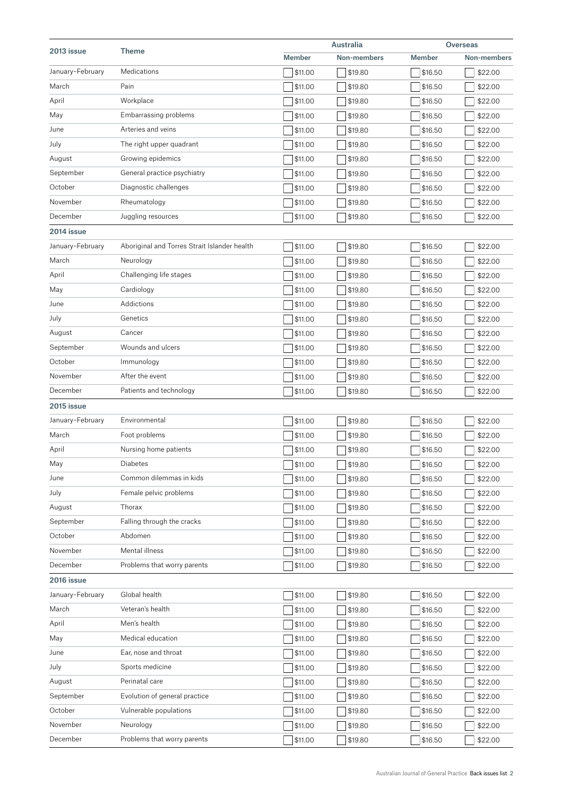| 2013 issue       | <b>Theme</b>                                 |                | Australia      |                | <b>Overseas</b> |  |
|------------------|----------------------------------------------|----------------|----------------|----------------|-----------------|--|
|                  |                                              | <b>Member</b>  | Non-members    | <b>Member</b>  | Non-members     |  |
| January-February | Medications                                  | \$11.00        | \$19.80        | \$16.50        | \$22.00         |  |
| March            | Pain                                         | \$11.00        | \$19.80        | \$16.50        | \$22.00         |  |
| April            | Workplace                                    | \$11.00        | \$19.80        | \$16.50        | \$22.00         |  |
| May              | Embarrassing problems                        | \$11.00        | \$19.80        | \$16.50        | \$22.00         |  |
| June             | Arteries and veins                           | \$11.00        | \$19.80        | \$16.50        | \$22.00         |  |
| July             | The right upper quadrant                     | \$11.00        | \$19.80        | \$16.50        | \$22.00         |  |
| August           | Growing epidemics                            | \$11.00        | \$19.80        | \$16.50        | \$22.00         |  |
| September        | General practice psychiatry                  | \$11.00        | \$19.80        | \$16.50        | \$22.00         |  |
| October          | Diagnostic challenges                        | \$11.00        | \$19.80        | \$16.50        | \$22.00         |  |
| November         | Rheumatology                                 | \$11.00        | \$19.80        | \$16.50        | \$22.00         |  |
| December         | Juggling resources                           | \$11.00        | \$19.80        | \$16.50        | \$22.00         |  |
| 2014 issue       |                                              |                |                |                |                 |  |
| January-February | Aboriginal and Torres Strait Islander health | \$11.00        | \$19.80        | \$16.50        | \$22.00         |  |
| March            | Neurology                                    | \$11.00        | \$19.80        | \$16.50        | \$22.00         |  |
| April            | Challenging life stages                      | \$11.00        | \$19.80        | \$16.50        | \$22.00         |  |
| May              | Cardiology                                   | \$11.00        | \$19.80        | \$16.50        | \$22.00         |  |
| June             | Addictions                                   | \$11.00        | \$19.80        | \$16.50        | \$22.00         |  |
| July             | Genetics                                     | \$11.00        | \$19.80        | \$16.50        | \$22.00         |  |
| August           | Cancer                                       | \$11.00        | \$19.80        | \$16.50        | \$22.00         |  |
| September        | Wounds and ulcers                            | \$11.00        | \$19.80        | \$16.50        | \$22.00         |  |
| October          | Immunology                                   | \$11.00        | \$19.80        | \$16.50        | \$22.00         |  |
| November         | After the event                              | \$11.00        | \$19.80        | \$16.50        | \$22.00         |  |
| December         | Patients and technology                      | \$11.00        | \$19.80        | \$16.50        | \$22.00         |  |
| 2015 issue       |                                              |                |                |                |                 |  |
| January-February | Environmental                                | \$11.00        | \$19.80        | \$16.50        | \$22.00         |  |
| March            | Foot problems                                | \$11.00        | \$19.80        | \$16.50        | \$22.00         |  |
| April            | Nursing home patients                        | \$11.00        | \$19.80        | \$16.50        | \$22.00         |  |
| May              | Diabetes                                     | $\Box$ \$11.00 | $\Box$ \$19.80 | $\Box$ \$16.50 | \$22.00         |  |
| June             | Common dilemmas in kids                      | \$11.00        | \$19.80        | \$16.50        | \$22.00         |  |
| July             | Female pelvic problems                       | \$11.00        | \$19.80        | \$16.50        | \$22.00         |  |
| August           | Thorax                                       | \$11.00        | \$19.80        | \$16.50        | \$22.00         |  |
| September        | Falling through the cracks                   | \$11.00        | \$19.80        | \$16.50        | \$22.00         |  |
| October          | Abdomen                                      | \$11.00        | \$19.80        | \$16.50        | \$22.00         |  |
| November         | Mental illness                               | \$11.00        | \$19.80        | \$16.50        | \$22.00         |  |
| December         | Problems that worry parents                  | \$11.00        | \$19.80        | \$16.50        | \$22.00         |  |
| 2016 issue       |                                              |                |                |                |                 |  |
| January-February | Global health                                | \$11.00        | \$19.80        | \$16.50        | \$22.00         |  |
| March            | Veteran's health                             | \$11.00        | \$19.80        | \$16.50        | \$22.00         |  |
| April            | Men's health                                 | \$11.00        | \$19.80        | \$16.50        | \$22.00         |  |
| May              | Medical education                            | \$11.00        | \$19.80        | \$16.50        | \$22.00         |  |
| June             | Ear, nose and throat                         | \$11.00        | \$19.80        | \$16.50        | \$22.00         |  |
| July             | Sports medicine                              | \$11.00        | \$19.80        | \$16.50        | \$22.00         |  |
| August           | Perinatal care                               | \$11.00        | \$19.80        | \$16.50        | \$22.00         |  |
| September        | Evolution of general practice                | \$11.00        | \$19.80        | \$16.50        | \$22.00         |  |
| October          | Vulnerable populations                       | \$11.00        | \$19.80        | \$16.50        | \$22.00         |  |
| November         | Neurology                                    | \$11.00        | \$19.80        | \$16.50        | \$22.00         |  |
| December         | Problems that worry parents                  | \$11.00        | \$19.80        | \$16.50        | \$22.00         |  |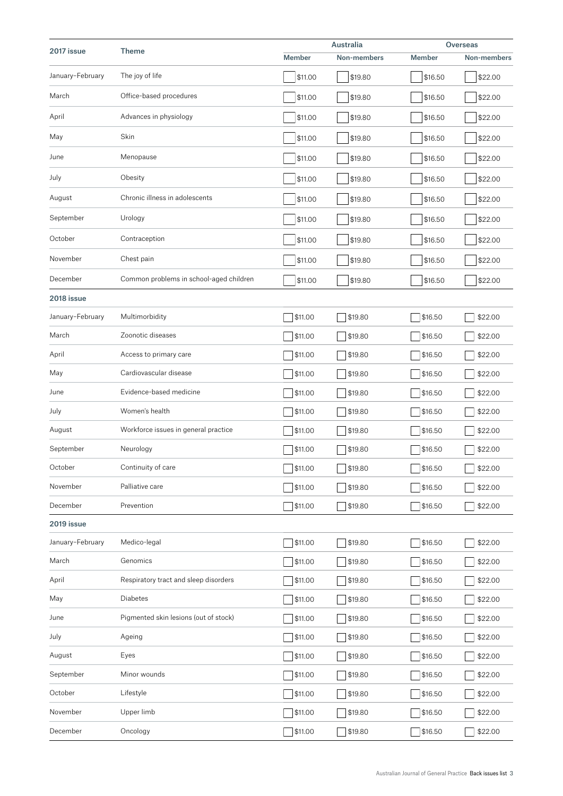|                  |                                         |               | Australia   |               | <b>Overseas</b> |  |
|------------------|-----------------------------------------|---------------|-------------|---------------|-----------------|--|
| 2017 issue       | <b>Theme</b>                            | <b>Member</b> | Non-members | <b>Member</b> | Non-members     |  |
| January-February | The joy of life                         | \$11.00       | \$19.80     | \$16.50       | \$22.00         |  |
| March            | Office-based procedures                 | \$11.00       | \$19.80     | \$16.50       | \$22.00         |  |
| April            | Advances in physiology                  | \$11.00       | \$19.80     | \$16.50       | \$22.00         |  |
| May              | Skin                                    | \$11.00       | \$19.80     | \$16.50       | \$22.00         |  |
| June             | Menopause                               | \$11.00       | \$19.80     | \$16.50       | \$22.00         |  |
| July             | Obesity                                 | \$11.00       | \$19.80     | \$16.50       | \$22.00         |  |
| August           | Chronic illness in adolescents          | \$11.00       | \$19.80     | \$16.50       | \$22.00         |  |
| September        | Urology                                 | \$11.00       | \$19.80     | \$16.50       | \$22.00         |  |
| October          | Contraception                           | \$11.00       | \$19.80     | \$16.50       | \$22.00         |  |
| November         | Chest pain                              | \$11.00       | \$19.80     | \$16.50       | \$22.00         |  |
| December         | Common problems in school-aged children | \$11.00       | \$19.80     | \$16.50       | \$22.00         |  |
| 2018 issue       |                                         |               |             |               |                 |  |
| January-February | Multimorbidity                          | \$11.00       | \$19.80     | \$16.50       | \$22.00         |  |
| March            | Zoonotic diseases                       | \$11.00       | \$19.80     | \$16.50       | \$22.00         |  |
| April            | Access to primary care                  | \$11.00       | \$19.80     | \$16.50       | \$22.00         |  |
| May              | Cardiovascular disease                  | \$11.00       | \$19.80     | \$16.50       | \$22.00         |  |
| June             | Evidence-based medicine                 | \$11.00       | \$19.80     | \$16.50       | \$22.00         |  |
| July             | Women's health                          | \$11.00       | \$19.80     | \$16.50       | \$22.00         |  |
| August           | Workforce issues in general practice    | \$11.00       | \$19.80     | \$16.50       | \$22.00         |  |
| September        | Neurology                               | \$11.00       | \$19.80     | \$16.50       | \$22.00         |  |
| October          | Continuity of care                      | \$11.00       | \$19.80     | \$16.50       | \$22.00         |  |
| November         | Palliative care                         | \$11.00       | \$19.80     | \$16.50       | \$22.00         |  |
| December         | Prevention                              | \$11.00       | \$19.80     | \$16.50       | \$22.00         |  |
| 2019 issue       |                                         |               |             |               |                 |  |
| January-February | Medico-legal                            | \$11.00       | \$19.80     | \$16.50       | \$22.00         |  |
| March            | Genomics                                | \$11.00       | \$19.80     | \$16.50       | \$22.00         |  |
| April            | Respiratory tract and sleep disorders   | \$11.00       | \$19.80     | \$16.50       | \$22.00         |  |
| May              | Diabetes                                | \$11.00       | \$19.80     | \$16.50       | \$22.00         |  |
| June             | Pigmented skin lesions (out of stock)   | \$11.00       | \$19.80     | \$16.50       | \$22.00         |  |
| July             | Ageing                                  | \$11.00       | \$19.80     | \$16.50       | \$22.00         |  |
| August           | Eyes                                    | \$11.00       | \$19.80     | \$16.50       | \$22.00         |  |
| September        | Minor wounds                            | \$11.00       | \$19.80     | \$16.50       | \$22.00         |  |
| October          | Lifestyle                               | \$11.00       | \$19.80     | \$16.50       | \$22.00         |  |
| November         | Upper limb                              | \$11.00       | \$19.80     | \$16.50       | \$22.00         |  |
| December         | Oncology                                | \$11.00       | \$19.80     | \$16.50       | \$22.00         |  |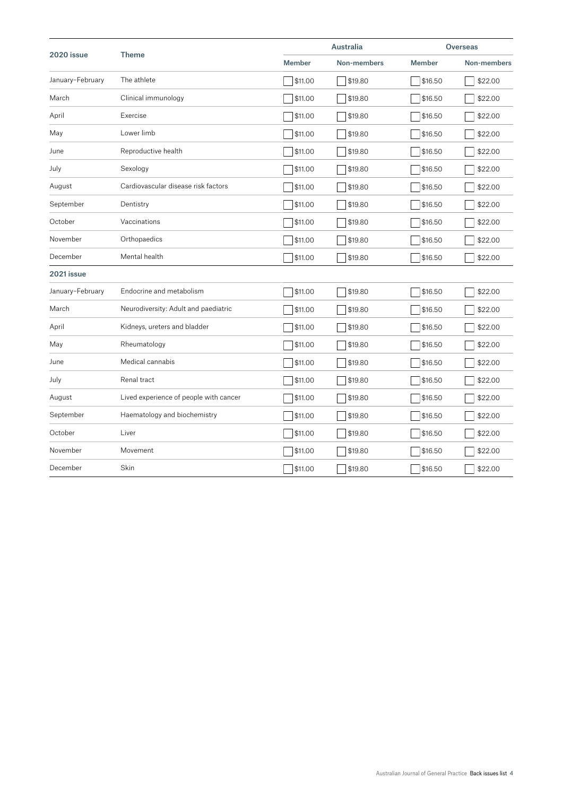|                  | <b>Theme</b>                           |               | <b>Australia</b> |               | <b>Overseas</b> |  |
|------------------|----------------------------------------|---------------|------------------|---------------|-----------------|--|
| 2020 issue       |                                        | <b>Member</b> | Non-members      | <b>Member</b> | Non-members     |  |
| January-February | The athlete                            | \$11.00       | \$19.80          | \$16.50       | \$22.00         |  |
| March            | Clinical immunology                    | \$11.00       | \$19.80          | \$16.50       | \$22.00         |  |
| April            | Exercise                               | \$11.00       | \$19.80          | \$16.50       | \$22.00         |  |
| May              | Lower limb                             | \$11.00       | \$19.80          | \$16.50       | \$22.00         |  |
| June             | Reproductive health                    | \$11.00       | \$19.80          | \$16.50       | \$22.00         |  |
| July             | Sexology                               | \$11.00       | \$19.80          | \$16.50       | \$22.00         |  |
| August           | Cardiovascular disease risk factors    | \$11.00       | \$19.80          | \$16.50       | \$22.00         |  |
| September        | Dentistry                              | \$11.00       | \$19.80          | \$16.50       | \$22.00         |  |
| October          | Vaccinations                           | \$11.00       | \$19.80          | \$16.50       | \$22.00         |  |
| November         | Orthopaedics                           | \$11.00       | \$19.80          | \$16.50       | \$22.00         |  |
| December         | Mental health                          | \$11.00       | \$19.80          | \$16.50       | \$22.00         |  |
| 2021 issue       |                                        |               |                  |               |                 |  |
| January-February | Endocrine and metabolism               | \$11.00       | \$19.80          | \$16.50       | \$22.00         |  |
| March            | Neurodiversity: Adult and paediatric   | \$11.00       | \$19.80          | \$16.50       | \$22.00         |  |
| April            | Kidneys, ureters and bladder           | \$11.00       | \$19.80          | \$16.50       | \$22.00         |  |
| May              | Rheumatology                           | \$11.00       | \$19.80          | \$16.50       | \$22.00         |  |
| June             | Medical cannabis                       | \$11.00       | \$19.80          | \$16.50       | \$22.00         |  |
| July             | Renal tract                            | \$11.00       | \$19.80          | \$16.50       | \$22.00         |  |
| August           | Lived experience of people with cancer | \$11.00       | \$19.80          | \$16.50       | \$22.00         |  |
| September        | Haematology and biochemistry           | \$11.00       | \$19.80          | \$16.50       | \$22.00         |  |
| October          | Liver                                  | \$11.00       | \$19.80          | \$16.50       | \$22.00         |  |
| November         | Movement                               | \$11.00       | \$19.80          | \$16.50       | \$22.00         |  |
| December         | Skin                                   | \$11.00       | \$19.80          | \$16.50       | \$22.00         |  |